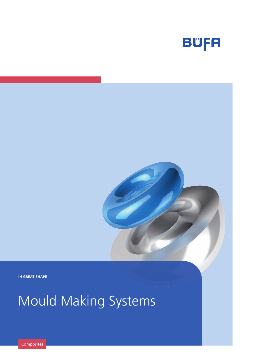

**IN GREAT SHAPE**

# Mould Making Systems

**Composites**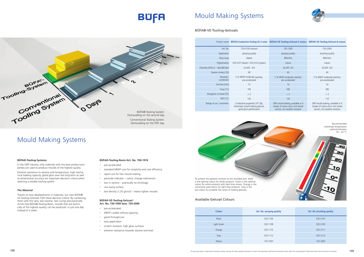| <b>Colour</b> | Art. No. spraying quality | Art. No. brushing quality |
|---------------|---------------------------|---------------------------|
| <b>Black</b>  | 520-1104                  | 520-2107                  |
| Light Green   | 520-1108                  | 520-2109                  |
| Orange        | 520-1110                  | 520-2111                  |
| Grey          | 520-1112                  | 520-2113                  |
| Nature        | 720-1000                  | 720-2000                  |



| Product name                    | <b>BÜFA®-Conductive-Tooling GC-S natur</b>                                                             | BÜFA®-VE-Tooling-Gelcoat-S nature                                                                       | <b>BÜFA®-VE-Tooling-Gelcoat-H nature</b>                                                                |
|---------------------------------|--------------------------------------------------------------------------------------------------------|---------------------------------------------------------------------------------------------------------|---------------------------------------------------------------------------------------------------------|
| Art. No.                        | 720-0100 (nature)                                                                                      | 720-1000                                                                                                | 720-2000                                                                                                |
| Application                     | spraying quality                                                                                       | spraying quality                                                                                        | brushing quality                                                                                        |
| Resin base                      | Hybrid                                                                                                 | <b>BPA/VEU</b>                                                                                          | <b>BPA/VEU</b>                                                                                          |
| Pigmentation                    | 520-0101 (black) / 520-0102 (green)                                                                    | nature                                                                                                  | nature                                                                                                  |
| Viscosity [mPa.s] - Spindle/rpm | $24,000 - 4/4$                                                                                         | 33,000 - 4/2                                                                                            | 53,000 - 4/2                                                                                            |
| Styrene content [%]             | 49                                                                                                     | 40                                                                                                      | 40                                                                                                      |
| Peroxide /<br>accelerator       | 2 % MEKP moderatly reactive,<br>pre-accelerated                                                        | 2 % MEKP moderatly reactive,<br>pre-accelerated                                                         | 2 % MEKP moderatly reactive,<br>pre-accelerated                                                         |
| Gel time [min]                  | 15                                                                                                     | 14                                                                                                      | 14                                                                                                      |
| $Tmax$ [°C]                     | 195                                                                                                    | 185                                                                                                     | 185                                                                                                     |
| Elongation at break [%]         | $>$ 3                                                                                                  | $>$ 3                                                                                                   | $>$ 3                                                                                                   |
| HDT [°C]                        | 120                                                                                                    | 130                                                                                                     | 110                                                                                                     |
| Range of use / comments         | Conductive properties $[10^6 \Omega]$ ,<br>thixotropic mould making gelcoat,<br>good gloss performance | GRP mould-making, available in 4<br>shades of colour and a non-tinted<br>version, not weather resistant | GRP mould-making, available in 4<br>shades of colour and a non-tinted<br>version, not weather resistant |

workshop temperature optimal between  $18 - 24 °C$ 

Thanks to new developments in materials, our new BÜFA®- VE-Tooling-Gelcoats fulfil these decisive criteria. By combining them with the new, low-styrene, fast curing and practically shrink-free BÜFA®-Tooling-Resin, moulds that are technically of the highest quality, can be produced in just one day instead of a week.

# **BUFA**

## Mould Making Systems

## Mould Making Systems



### **BÜFA®-Tooling-Systems**

In the GRP industry, only materials with the best product properties are used to produce moulds of the highest quality.

Extreme resistance to styrene and temperature, high mechanical loading capacity, good gloss over the long-term as well as dimensional accuracy are important decision criteria when selecting a reliable tooling system

### **The Material**

### **BÜFA®-Tooling-Resin/Art. No. 700-1974**

- pre-accelerated
- standard MEKP cure for simplicity and cost efficiency
- rapid cure for fast mould making
- peroxide indicator colour change mechanism
- low in styrene practically no shrinkage
- non-tacky surface
- low density (1,35 g/cm3) means lighter moulds

### **BÜFA®-VE-Tooling-Gelcoat/ Art. No. 720-1000 bzw. 720-2000**

- pre-accelerated
- MEKP curable without gassing
- good throughcure
- = easy application
- scratch resistant, high gloss surfaces
- extreme resistance towards styrene and heat

BÜFA®-VE-Tooling-Gelcoats